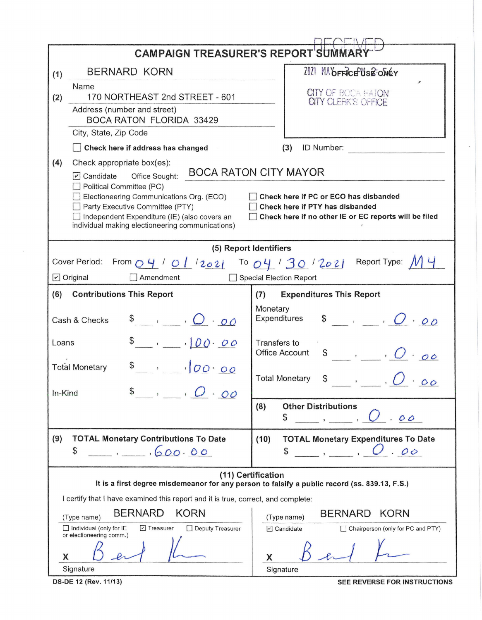|                                                                                                                                                   | <b>CAMPAIGN TREASURER'S REPORT SUMMAR</b>                                                                                                                                                                                                                                                                                                                                                                                                                       |                                                                                                                               |  |  |  |  |  |  |  |
|---------------------------------------------------------------------------------------------------------------------------------------------------|-----------------------------------------------------------------------------------------------------------------------------------------------------------------------------------------------------------------------------------------------------------------------------------------------------------------------------------------------------------------------------------------------------------------------------------------------------------------|-------------------------------------------------------------------------------------------------------------------------------|--|--|--|--|--|--|--|
|                                                                                                                                                   | <b>BERNARD KORN</b>                                                                                                                                                                                                                                                                                                                                                                                                                                             | 2021 MAOFFICEUSE ONEY<br><b>CITY OF BOCA HATON</b><br>CITY CLEFIK'S OFFICE                                                    |  |  |  |  |  |  |  |
| (1)<br>(2)                                                                                                                                        | Name<br>170 NORTHEAST 2nd STREET - 601<br>Address (number and street)<br><b>BOCA RATON FLORIDA 33429</b>                                                                                                                                                                                                                                                                                                                                                        |                                                                                                                               |  |  |  |  |  |  |  |
|                                                                                                                                                   | City, State, Zip Code                                                                                                                                                                                                                                                                                                                                                                                                                                           |                                                                                                                               |  |  |  |  |  |  |  |
|                                                                                                                                                   | Check here if address has changed                                                                                                                                                                                                                                                                                                                                                                                                                               | (3)<br>ID Number:                                                                                                             |  |  |  |  |  |  |  |
| (4)                                                                                                                                               | Check appropriate box(es):<br><b>BOCA RATON CITY MAYOR</b><br>$\triangledown$ Candidate<br>Office Sought:<br>Political Committee (PC)<br>Check here if PC or ECO has disbanded<br>Electioneering Communications Org. (ECO)<br>Party Executive Committee (PTY)<br>Check here if PTY has disbanded<br>□ Independent Expenditure (IE) (also covers an<br>Check here if no other IE or EC reports will be filed<br>individual making electioneering communications) |                                                                                                                               |  |  |  |  |  |  |  |
| (5) Report Identifiers                                                                                                                            |                                                                                                                                                                                                                                                                                                                                                                                                                                                                 |                                                                                                                               |  |  |  |  |  |  |  |
| Report Type:<br>Cover Period:<br>From $O4'$ / $O1$ /2021 To $O4'$ / 30 /2021<br>$\triangleright$ Original<br>Amendment<br>Special Election Report |                                                                                                                                                                                                                                                                                                                                                                                                                                                                 |                                                                                                                               |  |  |  |  |  |  |  |
| (6)                                                                                                                                               | <b>Contributions This Report</b>                                                                                                                                                                                                                                                                                                                                                                                                                                | <b>Expenditures This Report</b><br>(7)                                                                                        |  |  |  |  |  |  |  |
| Cash & Checks                                                                                                                                     |                                                                                                                                                                                                                                                                                                                                                                                                                                                                 | Monetary<br>$\int$ , , $O \cdot o \cdot$<br>Expenditures                                                                      |  |  |  |  |  |  |  |
| Loans                                                                                                                                             | $\frac{1}{2}$ , $00.00$                                                                                                                                                                                                                                                                                                                                                                                                                                         | Transfers to<br><b>Office Account</b><br>\$<br>$\cdot$ $\cdot$ $\cdot$ $\cdot$ $\circ$ $\circ$                                |  |  |  |  |  |  |  |
| In-Kind                                                                                                                                           | \$<br>$\overline{OQ}$<br><b>Total Monetary</b>                                                                                                                                                                                                                                                                                                                                                                                                                  | <b>Total Monetary</b>                                                                                                         |  |  |  |  |  |  |  |
|                                                                                                                                                   |                                                                                                                                                                                                                                                                                                                                                                                                                                                                 | <b>Other Distributions</b><br>(8)<br>\$<br>00                                                                                 |  |  |  |  |  |  |  |
| (9)                                                                                                                                               | <b>TOTAL Monetary Contributions To Date</b><br>\$<br>600.00                                                                                                                                                                                                                                                                                                                                                                                                     | <b>TOTAL Monetary Expenditures To Date</b><br>(10)<br>$\overline{C}$ , $\overline{C}$ , $\overline{C}$ , $\overline{C}$<br>\$ |  |  |  |  |  |  |  |
|                                                                                                                                                   |                                                                                                                                                                                                                                                                                                                                                                                                                                                                 | (11) Certification<br>It is a first degree misdemeanor for any person to falsify a public record (ss. 839.13, F.S.)           |  |  |  |  |  |  |  |
| I certify that I have examined this report and it is true, correct, and complete:                                                                 |                                                                                                                                                                                                                                                                                                                                                                                                                                                                 |                                                                                                                               |  |  |  |  |  |  |  |
|                                                                                                                                                   | <b>BERNARD</b><br><b>KORN</b><br>(Type name)<br>Individual (only for IE<br>□ Treasurer<br>Deputy Treasurer<br>or electioneering comm.)                                                                                                                                                                                                                                                                                                                          | <b>KORN</b><br><b>BERNARD</b><br>(Type name)<br>$\Box$ Candidate<br>Chairperson (only for PC and PTY)                         |  |  |  |  |  |  |  |
| X                                                                                                                                                 | Signature                                                                                                                                                                                                                                                                                                                                                                                                                                                       | X<br>Signature                                                                                                                |  |  |  |  |  |  |  |

**DS-DE 12 (Rev. 11/13)** SEE REVERSE FOR INSTRUCTIONS